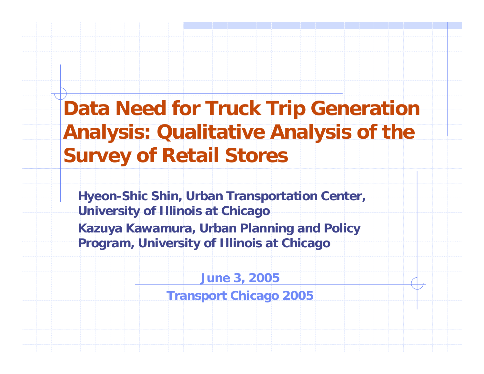### **Data Need for Truck Trip Generation Analysis: Qualitative Analysis of the Survey of Retail Stores**

**Hyeon-Shic Shin, Urban Transportation Center, University of Illinois at Chicag o Kazuya Kawamura, Urban Planning and Policy Program, University of Illinois at Chicago**

> **June 3, 2005 Transport Chicago 2005**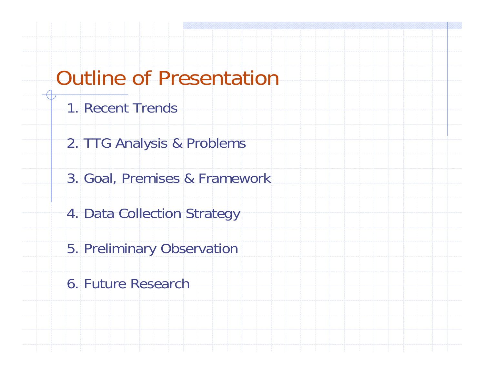### Outline of Presentation

- 1. Recent Trends
- 2. TTG Analysis & Problems
- 3. Goal, Premises & Framework
- 4. Data Collection Strategy
- 5. Preliminary Observation
- 6. Future Research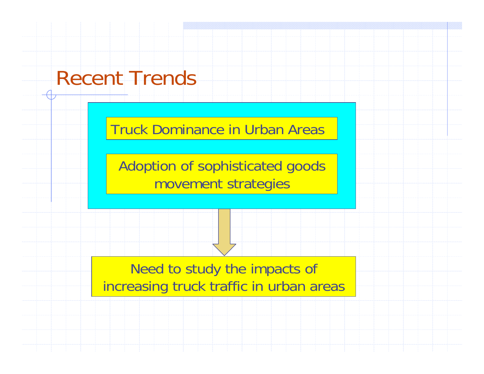### Recent Trends

Truck Dominance in Urban Areas

Adoption of sophisticated goods movement strategies

Need to study the impacts of increasing truck traffic in urban areas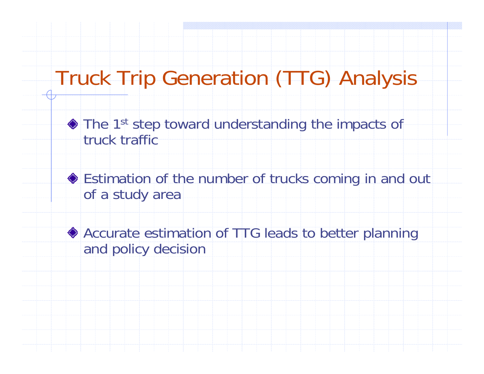# Truck Trip Generation (TTG) Analysis

◆ The 1<sup>st</sup> step toward understanding the impacts of truck traffic

◆ Estimation of the number of trucks coming in and out of a study area

◆ Accurate estimation of TTG leads to better planning and policy decision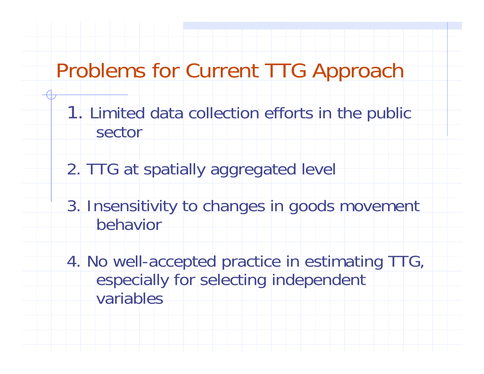### Problems for Current TTG Approach

- 1. Limited data collection efforts in the public sector
- 2. TTG at spatially aggregated level
- 3. Insensitivity to changes in goods movement behavior
- 4. No well-accepted practice in estimating TTG, especially for selecting independent variables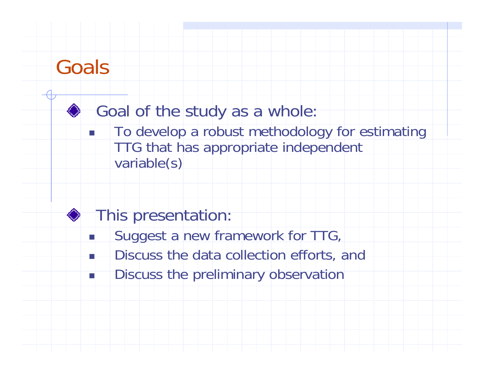### Goals

П

### Goal of the study as a whole:

П To develop a robust methodology for estimating TTG that has appropriate independent variable(s)

### This presentation:

- П Suggest a new framework for TTG,
	- Discuss the data collection efforts, and
- $\overline{\phantom{a}}$ Discuss the preliminary observation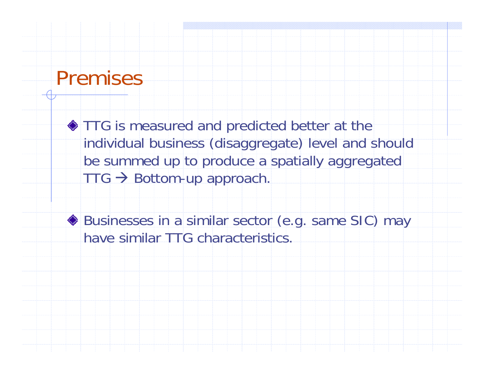### Premises

**TTG** is measured and predicted better at the individual business (disaggregate) level and should be summed up to produce a spatially aggregated  $TTG \rightarrow$  Bottom-up approach.

◆ Businesses in a similar sector (e.g. same SIC) may have similar TTG characteristics.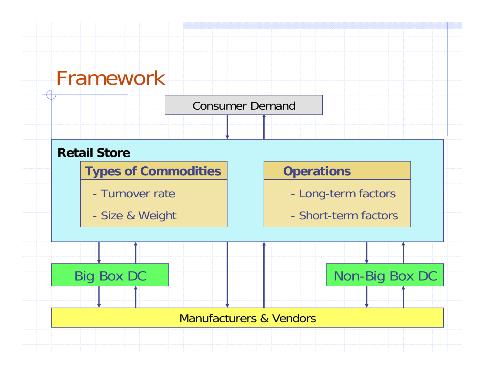### Framework

#### Consumer Demanc

#### **Retail Store**

**Types of Commodities**

- Turnover rate
- -Size & Weight

#### **Operations**

- Long-term factors
- Short-term factors

Big Box DC Non-Big Box DC

#### Manufacturers & Vendors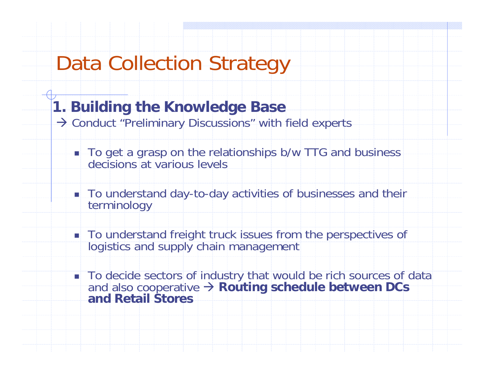### **1. Building the Knowledge Base**

- $\rightarrow$  Conduct "Preliminary Discussions" with field experts
	- To get a grasp on the relationships b/w TTG and business decisions at various levels
	- To understand day-to-day activities of businesses and their terminology
	- To understand freight truck issues from the perspectives of logistics and supply chain management
	- To decide sectors of industry that would be rich sources of data and also cooperative Æ **Routing schedule between DCs and Retail Stores**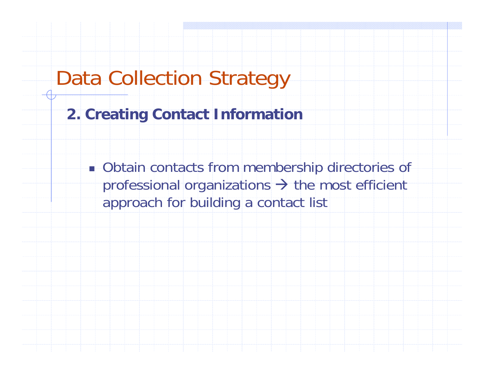#### **2. Creating Contact Information**

**Diangle 10 Contacts from membership directories of** professional organizations  $\rightarrow$  the most efficient approach for building a contact list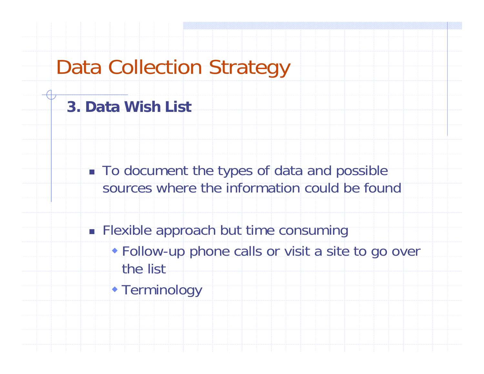#### **3. Data Wish List**

- $\blacksquare$  To document the types of data and possible sources where the information could be found
- **Flexible approach but time consuming** 
	- Follow-up phone calls or visit a site to go over the list
	- Terminology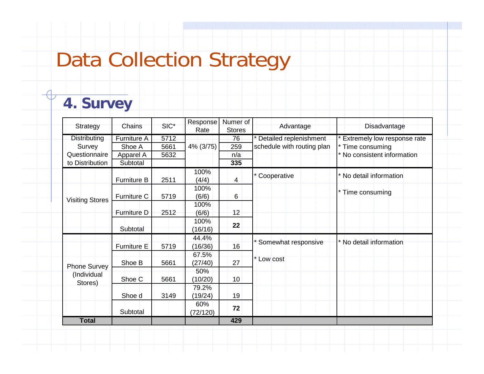#### **4. Survey**

| Strategy                                      | Chains             | SIC* | Response<br>Rate | Numer of<br><b>Stores</b> | Advantage                  | Disadvantage                                                                     |  |  |
|-----------------------------------------------|--------------------|------|------------------|---------------------------|----------------------------|----------------------------------------------------------------------------------|--|--|
| <b>Distributing</b>                           | Furniture A        | 5712 |                  | 76                        | * Detailed replenishment   | * Extremely low response rate<br>* Time consuming<br>* No consistent information |  |  |
| Survey                                        | Shoe A             | 5661 | 4% (3/75)        | 259                       | schedule with routing plan |                                                                                  |  |  |
| Questionnaire                                 | Apparel A          | 5632 |                  | n/a                       |                            |                                                                                  |  |  |
| to Distribution                               | Subtotal           |      |                  | 335                       |                            |                                                                                  |  |  |
| <b>Visiting Stores</b>                        | <b>Furniture B</b> | 2511 | 100%<br>(4/4)    | 4                         | * Cooperative              | * No detail information                                                          |  |  |
|                                               | <b>Furniture C</b> | 5719 | 100%<br>(6/6)    | 6                         |                            | * Time consuming                                                                 |  |  |
|                                               | Furniture D        | 2512 | 100%<br>(6/6)    | $12 -$                    |                            |                                                                                  |  |  |
|                                               | Subtotal           |      | 100%<br>(16/16)  | 22                        |                            |                                                                                  |  |  |
|                                               |                    |      | 44.4%            |                           | Somewhat responsive        | * No detail information                                                          |  |  |
|                                               | Furniture E        | 5719 | (16/36)          | 16                        |                            |                                                                                  |  |  |
| <b>Phone Survey</b><br>(Individual<br>Stores) | Shoe B             | 5661 | 67.5%<br>(27/40) | 27                        | * Low cost                 |                                                                                  |  |  |
|                                               | Shoe C             | 5661 | 50%<br>(10/20)   | 10 <sup>°</sup>           |                            |                                                                                  |  |  |
|                                               | Shoe d             | 3149 | 79.2%<br>(19/24) | 19                        |                            |                                                                                  |  |  |
|                                               | Subtotal           |      | 60%<br>(72/120)  | 72                        |                            |                                                                                  |  |  |
| <b>Total</b>                                  |                    |      |                  | 429                       |                            |                                                                                  |  |  |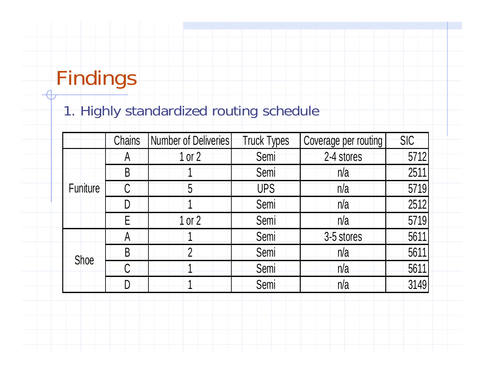### 1. Highly standardized routing schedule

|                 | <b>Chains</b> | <b>Number of Deliveries</b> | <b>Truck Types</b> | Coverage per routing | <b>SIC</b> |
|-----------------|---------------|-----------------------------|--------------------|----------------------|------------|
|                 | $\mathcal{A}$ | 1 or 2                      | Semi               | 2-4 stores           | 5712       |
|                 | B             |                             | Semi               | n/a                  | 2511       |
| <b>Funiture</b> |               | 5                           | <b>UPS</b>         | n/a                  | 5719       |
|                 |               |                             | Semi               | n/a                  | 2512       |
|                 | F             | $1$ or $2$                  | Semi               | n/a                  | 5719       |
| Shoe            | A             |                             | Semi               | 3-5 stores           | 5611       |
|                 | B             | $\mathfrak{D}$              | Semi               | n/a                  | 5611       |
|                 |               |                             | Semi               | n/a                  | 5611       |
|                 |               |                             | Semi               | n/a                  | 3149       |
|                 |               |                             |                    |                      |            |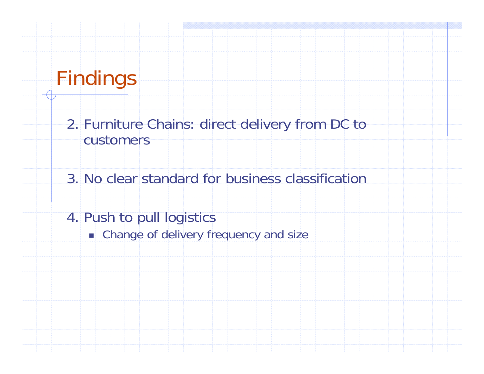2. Furniture Chains: direct delivery from DC to customers

3. No clear standard for business classification

- 4. Push to pull logistics
	- **E.** Change of delivery frequency and size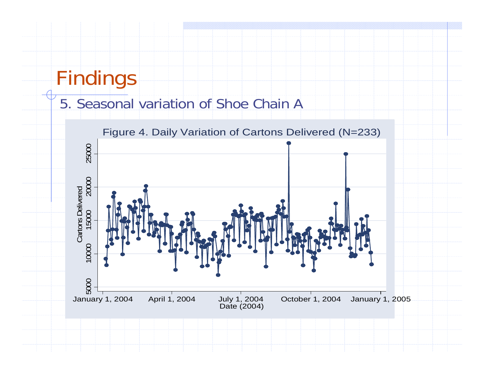#### 5. Seasonal variation of Shoe Chain A

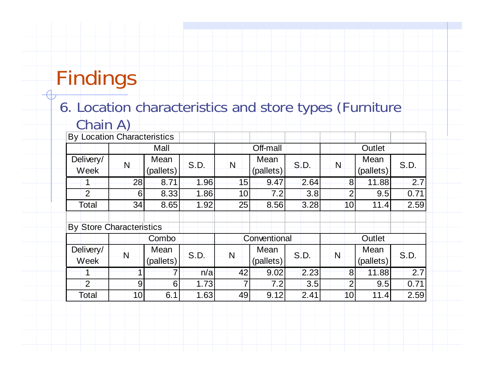### 6. Location characteristics and store types (Furniture Chain A)

| <b>By Location Characteristics</b> |                 |                   |      |                 |                   |      |                 |                   |      |  |
|------------------------------------|-----------------|-------------------|------|-----------------|-------------------|------|-----------------|-------------------|------|--|
|                                    |                 | Mall              |      |                 | Off-mall          |      |                 | Outlet            |      |  |
| Delivery/<br>Week                  | N               | Mean<br>(pallets) | S.D. | N               | Mean<br>(pallets) | S.D. | $\mathsf{N}$    | Mean<br>(pallets) | S.D. |  |
|                                    | 28              | 8.71              | 1.96 | 15              | 9.47              | 2.64 | 8 <sup>1</sup>  | 11.88             | 2.7  |  |
| 2                                  | 6               | 8.33              | 1.86 | 10 <sup>1</sup> | 7.2               | 3.8  | 2 <sub>1</sub>  | 9.5               | 0.71 |  |
| Total                              | 34              | 8.65              | 1.92 | 25              | 8.56              | 3.28 | 10 <sub>l</sub> | 11.4              | 2.59 |  |
| <b>By Store Characteristics</b>    |                 |                   |      |                 |                   |      |                 |                   |      |  |
|                                    | Combo           |                   |      |                 | Conventional      |      |                 | Outlet            |      |  |
| Delivery/<br>Week                  | Ń               | Mean<br>(pallets) | S.D. | $\mathsf{N}$    | Mean<br>(pallets) | S.D. | $\mathsf{N}$    | Mean<br>(pallets) | S.D. |  |
|                                    |                 | 7                 | n/a  | 42              | 9.02              | 2.23 | 8               | 11.88             | 2.7  |  |
| $\overline{2}$                     | 9               | $6 \mid$          | 1.73 | $\overline{7}$  | 7.2               | 3.5  | 2 <sub>1</sub>  | 9.5               | 0.71 |  |
| Total                              | 10 <sup>1</sup> | 6.1               | 1.63 | 49              | 9.12              | 2.41 | 10 <sub>l</sub> | 11.4              | 2.59 |  |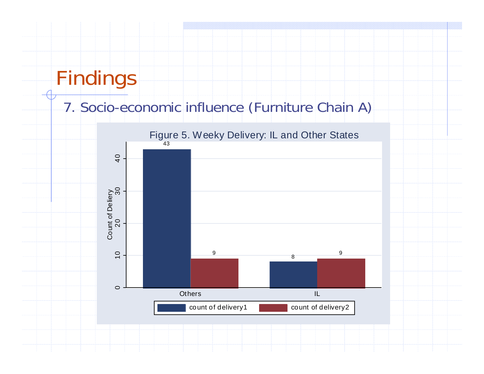#### 7. Socio-economic influence (Furniture Chain A)